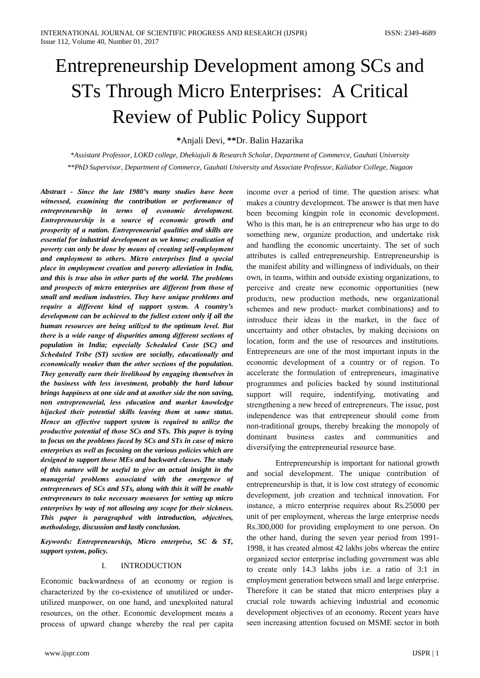# Entrepreneurship Development among SCs and STs Through Micro Enterprises: A Critical **Review of Public Policy Support**

\*Anjali Devi, \*\*Dr. Balin Hazarika

\*Assistant Professor, LOKD college, Dhekiajuli & Research Scholar, Department of Commerce, Gauhati University \*\*PhD Supervisor, Department of Commerce, Gauhati University and Associate Professor, Kaliabor College, Nagaon

Abstract - Since the late 1980's many studies have been witnessed, examining the contribution or performance of entrepreneurship in terms of economic development. Entrepreneurship is a source of economic growth and prosperity of a nation. Entrepreneurial qualities and skills are essential for industrial development as we know; eradication of poverty can only be done by means of creating self-employment and employment to others. Micro enterprises find a special place in employment creation and poverty alleviation in India, and this is true also in other parts of the world. The problems and prospects of micro enterprises are different from those of small and medium industries. They have unique problems and require a different kind of support system. A country's development can be achieved to the fullest extent only if all the human resources are being utilized to the optimum level. But there is a wide range of disparities among different sections of population in India; especially Scheduled Caste (SC) and Scheduled Tribe (ST) section are socially, educationally and economically weaker than the other sections of the population. They generally earn their livelihood by engaging themselves in the business with less investment, probably the hard labour brings happiness at one side and at another side the non saving, non entrepreneurial, less education and market knowledge hijacked their potential skills leaving them at same status. Hence an effective support system is required to utilize the productive potential of those SCs and STs. This paper is trying to focus on the problems faced by SCs and STs in case of micro enterprises as well as focusing on the various policies which are designed to support those MEs and backward classes. The study of this nature will be useful to give an actual insight in the managerial problems associated with the emergence of entrepreneurs of SCs and STs, along with this it will be enable entrepreneurs to take necessary measures for setting up micro enterprises by way of not allowing any scope for their sickness. This paper is paragraphed with introduction, objectives, methodology, discussion and lastly conclusion.

Keywords: Entrepreneurship, Micro enterprise, SC & ST, support system, policy.

#### **INTRODUCTION**  $\mathbf{I}$ .

Economic backwardness of an economy or region is characterized by the co-existence of unutilized or underutilized manpower, on one hand, and unexploited natural resources, on the other. Economic development means a process of upward change whereby the real per capita

income over a period of time. The question arises: what makes a country development. The answer is that men have been becoming kingpin role in economic development. Who is this man, he is an entrepreneur who has urge to do something new, organize production, and undertake risk and handling the economic uncertainty. The set of such attributes is called entrepreneurship. Entrepreneurship is the manifest ability and willingness of individuals, on their own, in teams, within and outside existing organizations, to perceive and create new economic opportunities (new products, new production methods, new organizational schemes and new product- market combinations) and to introduce their ideas in the market, in the face of uncertainty and other obstacles, by making decisions on location, form and the use of resources and institutions. Entrepreneurs are one of the most important inputs in the economic development of a country or of region. To accelerate the formulation of entrepreneurs, imaginative programmes and policies backed by sound institutional support will require, indentifying, motivating and strengthening a new breed of entrepreneurs. The issue, post independence was that entrepreneur should come from non-traditional groups, thereby breaking the monopoly of dominant business castes and communities and diversifying the entrepreneurial resource base.

Entrepreneurship is important for national growth and social development. The unique contribution of entrepreneurship is that, it is low cost strategy of economic development, job creation and technical innovation. For instance, a micro enterprise requires about Rs.25000 per unit of per employment, whereas the large enterprise needs Rs.300,000 for providing employment to one person. On the other hand, during the seven year period from 1991-1998, it has created almost 42 lakhs jobs whereas the entire organized sector enterprise including government was able to create only 14.3 lakhs jobs *i.e.* a ratio of 3:1 in employment generation between small and large enterprise. Therefore it can be stated that micro enterprises play a crucial role towards achieving industrial and economic development objectives of an economy. Recent years have seen increasing attention focused on MSME sector in both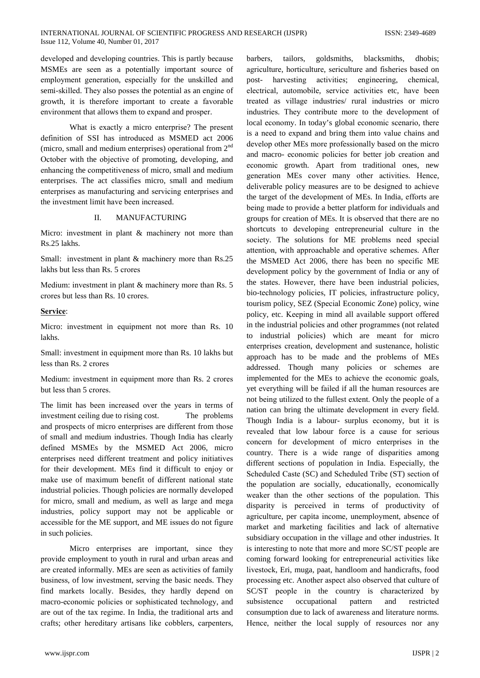developed and developing countries. This is partly because MSMEs are seen as a potentially important source of employment generation, especially for the unskilled and semi-skilled. They also posses the potential as an engine of growth, it is therefore important to create a favorable environment that allows them to expand and prosper.

What is exactly a micro enterprise? The present definition of SSI has introduced as MSMED act 2006 (micro, small and medium enterprises) operational from 2<sup>nd</sup> October with the objective of promoting, developing, and enhancing the competitiveness of micro, small and medium enterprises. The act classifies micro, small and medium enterprises as manufacturing and servicing enterprises and the investment limit have been increased.

#### $\Pi$ . **MANUFACTURING**

Micro: investment in plant & machinery not more than Rs.25 lakhs.

Small: investment in plant  $&$  machinery more than Rs.25 lakhs but less than Rs. 5 crores

Medium: investment in plant & machinery more than Rs. 5 crores but less than Rs. 10 crores.

#### Service:

Micro: investment in equipment not more than Rs. 10 lakhs.

Small: investment in equipment more than Rs. 10 lakhs but less than Rs. 2 crores

Medium: investment in equipment more than Rs. 2 crores but less than 5 crores.

The limit has been increased over the years in terms of investment ceiling due to rising cost. The problems and prospects of micro enterprises are different from those of small and medium industries. Though India has clearly defined MSMEs by the MSMED Act 2006, micro enterprises need different treatment and policy initiatives for their development. MEs find it difficult to enjoy or make use of maximum benefit of different national state industrial policies. Though policies are normally developed for micro, small and medium, as well as large and mega industries, policy support may not be applicable or accessible for the ME support, and ME issues do not figure in such policies.

Micro enterprises are important, since they provide employment to youth in rural and urban areas and are created informally. MEs are seen as activities of family business, of low investment, serving the basic needs. They find markets locally. Besides, they hardly depend on macro-economic policies or sophisticated technology, and are out of the tax regime. In India, the traditional arts and crafts; other hereditary artisans like cobblers, carpenters,

www.ijspr.com

goldsmiths, barbers. tailors. blacksmiths. dhobis: agriculture, horticulture, sericulture and fisheries based on post- harvesting activities; engineering, chemical, electrical, automobile, service activities etc, have been treated as village industries/ rural industries or micro industries. They contribute more to the development of local economy. In today's global economic scenario, there is a need to expand and bring them into value chains and develop other MEs more professionally based on the micro and macro- economic policies for better job creation and economic growth. Apart from traditional ones, new generation MEs cover many other activities. Hence, deliverable policy measures are to be designed to achieve the target of the development of MEs. In India, efforts are being made to provide a better platform for individuals and groups for creation of MEs. It is observed that there are no shortcuts to developing entrepreneurial culture in the society. The solutions for ME problems need special attention, with approachable and operative schemes. After the MSMED Act 2006, there has been no specific ME development policy by the government of India or any of the states. However, there have been industrial policies, bio-technology policies, IT policies, infrastructure policy, tourism policy, SEZ (Special Economic Zone) policy, wine policy, etc. Keeping in mind all available support offered in the industrial policies and other programmes (not related to industrial policies) which are meant for micro enterprises creation, development and sustenance, holistic approach has to be made and the problems of MEs addressed. Though many policies or schemes are implemented for the MEs to achieve the economic goals, yet everything will be failed if all the human resources are not being utilized to the fullest extent. Only the people of a nation can bring the ultimate development in every field. Though India is a labour- surplus economy, but it is revealed that low labour force is a cause for serious concern for development of micro enterprises in the country. There is a wide range of disparities among different sections of population in India. Especially, the Scheduled Caste (SC) and Scheduled Tribe (ST) section of the population are socially, educationally, economically weaker than the other sections of the population. This disparity is perceived in terms of productivity of agriculture, per capita income, unemployment, absence of market and marketing facilities and lack of alternative subsidiary occupation in the village and other industries. It is interesting to note that more and more SC/ST people are coming forward looking for entrepreneurial activities like livestock, Eri, muga, paat, handloom and handicrafts, food processing etc. Another aspect also observed that culture of SC/ST people in the country is characterized by subsistence occupational pattern and restricted consumption due to lack of awareness and literature norms. Hence, neither the local supply of resources nor any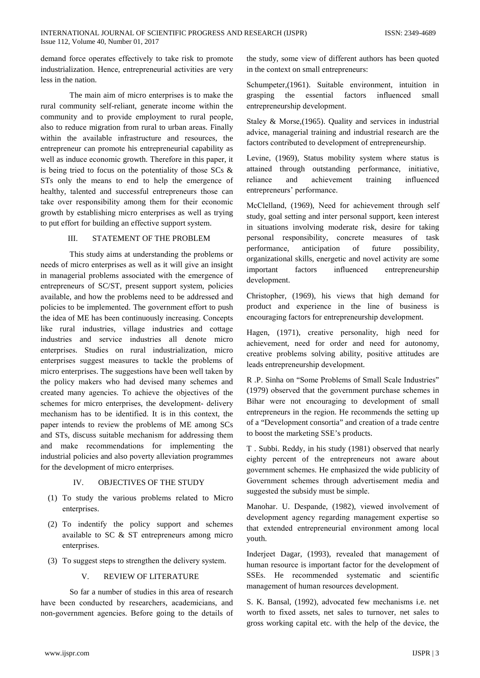demand force operates effectively to take risk to promote industrialization. Hence, entrepreneurial activities are very less in the nation.

The main aim of micro enterprises is to make the rural community self-reliant, generate income within the community and to provide employment to rural people, also to reduce migration from rural to urban areas. Finally within the available infrastructure and resources, the entrepreneur can promote his entrepreneurial capability as well as induce economic growth. Therefore in this paper, it is being tried to focus on the potentiality of those SCs  $\&$ STs only the means to end to help the emergence of healthy, talented and successful entrepreneurs those can take over responsibility among them for their economic growth by establishing micro enterprises as well as trying to put effort for building an effective support system.

#### $III$ STATEMENT OF THE PROBLEM

This study aims at understanding the problems or needs of micro enterprises as well as it will give an insight in managerial problems associated with the emergence of entrepreneurs of SC/ST, present support system, policies available, and how the problems need to be addressed and policies to be implemented. The government effort to push the idea of ME has been continuously increasing. Concepts like rural industries, village industries and cottage industries and service industries all denote micro enterprises. Studies on rural industrialization, micro enterprises suggest measures to tackle the problems of micro enterprises. The suggestions have been well taken by the policy makers who had devised many schemes and created many agencies. To achieve the objectives of the schemes for micro enterprises, the development- delivery mechanism has to be identified. It is in this context, the paper intends to review the problems of ME among SCs and STs, discuss suitable mechanism for addressing them and make recommendations for implementing the industrial policies and also poverty alleviation programmes for the development of micro enterprises.

#### IV. OBJECTIVES OF THE STUDY

- (1) To study the various problems related to Micro enterprises.
- (2) To indentify the policy support and schemes available to SC & ST entrepreneurs among micro enterprises.
- (3) To suggest steps to strengthen the delivery system.

#### $V_{\cdot}$ **REVIEW OF LITERATURE**

So far a number of studies in this area of research have been conducted by researchers, academicians, and non-government agencies. Before going to the details of the study, some view of different authors has been quoted in the context on small entrepreneurs:

Schumpeter, (1961). Suitable environment, intuition in grasping the essential factors influenced emall entrepreneurship development.

Staley & Morse,  $(1965)$ . Quality and services in industrial advice, managerial training and industrial research are the factors contributed to development of entrepreneurship.

Levine, (1969), Status mobility system where status is attained through outstanding performance, initiative, achievement influenced reliance and training entrepreneurs' performance.

McClelland, (1969), Need for achievement through self study, goal setting and inter personal support, keen interest in situations involving moderate risk, desire for taking personal responsibility, concrete measures of task anticipation  $\sigma f$ future possibility, performance, organizational skills, energetic and novel activity are some factors influenced important entrepreneurship development.

Christopher, (1969), his views that high demand for product and experience in the line of business is encouraging factors for entrepreneurship development.

Hagen, (1971), creative personality, high need for achievement, need for order and need for autonomy, creative problems solving ability, positive attitudes are leads entrepreneurship development.

R.P. Sinha on "Some Problems of Small Scale Industries" (1979) observed that the government purchase schemes in Bihar were not encouraging to development of small entrepreneurs in the region. He recommends the setting up of a "Development consortia" and creation of a trade centre to boost the marketing SSE's products.

T. Subbi. Reddy, in his study (1981) observed that nearly eighty percent of the entrepreneurs not aware about government schemes. He emphasized the wide publicity of Government schemes through advertisement media and suggested the subsidy must be simple.

Manohar. U. Despande, (1982), viewed involvement of development agency regarding management expertise so that extended entrepreneurial environment among local youth.

Inderjeet Dagar, (1993), revealed that management of human resource is important factor for the development of SSEs. He recommended systematic and scientific management of human resources development.

S. K. Bansal, (1992), advocated few mechanisms i.e. net worth to fixed assets, net sales to turnover, net sales to gross working capital etc. with the help of the device, the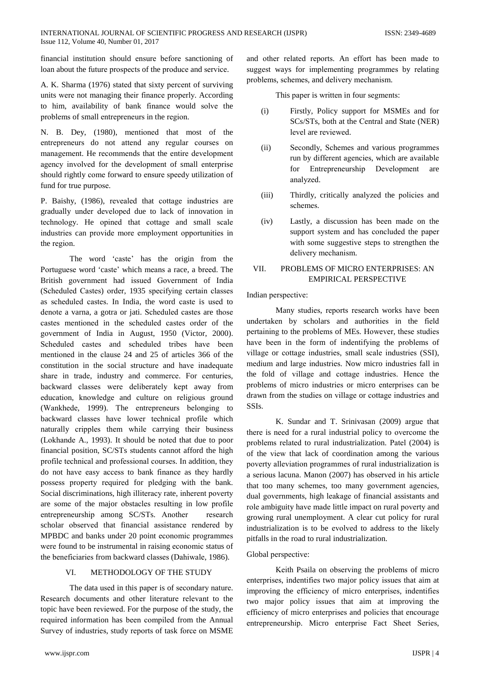financial institution should ensure before sanctioning of loan about the future prospects of the produce and service.

A. K. Sharma (1976) stated that sixty percent of surviving units were not managing their finance properly. According to him, availability of bank finance would solve the problems of small entrepreneurs in the region.

N. B. Dey, (1980), mentioned that most of the entrepreneurs do not attend any regular courses on management. He recommends that the entire development agency involved for the development of small enterprise should rightly come forward to ensure speedy utilization of fund for true purpose.

P. Baishy, (1986), revealed that cottage industries are gradually under developed due to lack of innovation in technology. He opined that cottage and small scale industries can provide more employment opportunities in the region.

The word 'caste' has the origin from the Portuguese word 'caste' which means a race, a breed. The British government had issued Government of India (Scheduled Castes) order, 1935 specifying certain classes as scheduled castes. In India, the word caste is used to denote a varna, a gotra or jati. Scheduled castes are those castes mentioned in the scheduled castes order of the government of India in August, 1950 (Victor, 2000). Scheduled castes and scheduled tribes have been mentioned in the clause 24 and 25 of articles 366 of the constitution in the social structure and have inadequate share in trade, industry and commerce. For centuries, backward classes were deliberately kept away from education, knowledge and culture on religious ground (Wankhede, 1999). The entrepreneurs belonging to backward classes have lower technical profile which naturally cripples them while carrying their business (Lokhande A., 1993). It should be noted that due to poor financial position, SC/STs students cannot afford the high profile technical and professional courses. In addition, they do not have easy access to bank finance as they hardly possess property required for pledging with the bank. Social discriminations, high illiteracy rate, inherent poverty are some of the major obstacles resulting in low profile entrepreneurship among SC/STs. Another research scholar observed that financial assistance rendered by MPBDC and banks under 20 point economic programmes were found to be instrumental in raising economic status of the beneficiaries from backward classes (Dahiwale, 1986).

#### METHODOLOGY OF THE STUDY VI.

The data used in this paper is of secondary nature. Research documents and other literature relevant to the topic have been reviewed. For the purpose of the study, the required information has been compiled from the Annual Survey of industries, study reports of task force on MSME and other related reports. An effort has been made to suggest ways for implementing programmes by relating problems, schemes, and delivery mechanism.

This paper is written in four segments:

- Firstly, Policy support for MSMEs and for  $(i)$ SCs/STs, both at the Central and State (NER) level are reviewed.
- Secondly, Schemes and various programmes  $(ii)$ run by different agencies, which are available Entrepreneurship Development for are analyzed.
- Thirdly, critically analyzed the policies and  $(iii)$ schemes.
- $(iv)$ Lastly, a discussion has been made on the support system and has concluded the paper with some suggestive steps to strengthen the delivery mechanism.

#### VII. PROBLEMS OF MICRO ENTERPRISES: AN **EMPIRICAL PERSPECTIVE**

### Indian perspective:

Many studies, reports research works have been undertaken by scholars and authorities in the field pertaining to the problems of MEs. However, these studies have been in the form of indentifying the problems of village or cottage industries, small scale industries (SSI), medium and large industries. Now micro industries fall in the fold of village and cottage industries. Hence the problems of micro industries or micro enterprises can be drawn from the studies on village or cottage industries and SSIs.

K. Sundar and T. Srinivasan (2009) argue that there is need for a rural industrial policy to overcome the problems related to rural industrialization. Patel (2004) is of the view that lack of coordination among the various poverty alleviation programmes of rural industrialization is a serious lacuna. Manon (2007) has observed in his article that too many schemes, too many government agencies, dual governments, high leakage of financial assistants and role ambiguity have made little impact on rural poverty and growing rural unemployment. A clear cut policy for rural industrialization is to be evolved to address to the likely pitfalls in the road to rural industrialization.

### Global perspective:

Keith Psaila on observing the problems of micro enterprises, indentifies two major policy issues that aim at improving the efficiency of micro enterprises, indentifies two major policy issues that aim at improving the efficiency of micro enterprises and policies that encourage entrepreneurship. Micro enterprise Fact Sheet Series,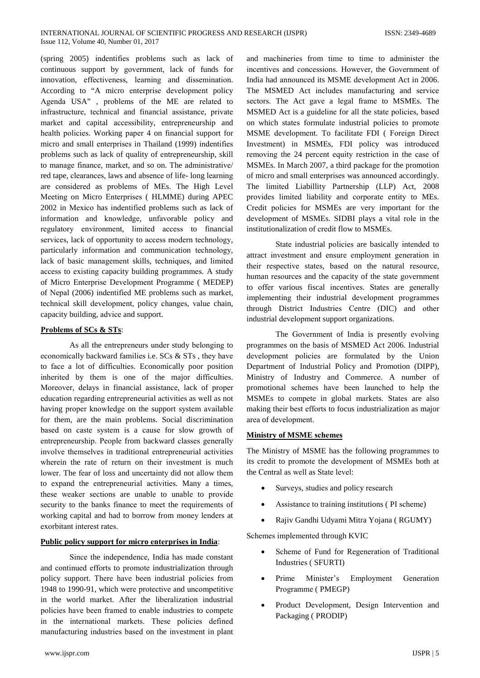(spring 2005) indentifies problems such as lack of continuous support by government, lack of funds for innovation, effectiveness, learning and dissemination. According to "A micro enterprise development policy Agenda USA", problems of the ME are related to infrastructure, technical and financial assistance, private market and capital accessibility, entrepreneurship and health policies. Working paper 4 on financial support for micro and small enterprises in Thailand (1999) indentifies problems such as lack of quality of entrepreneurship, skill to manage finance, market, and so on. The administrative/ red tape, clearances, laws and absence of life-long learning are considered as problems of MEs. The High Level Meeting on Micro Enterprises (HLMME) during APEC 2002 in Mexico has indentified problems such as lack of information and knowledge, unfavorable policy and regulatory environment, limited access to financial services, lack of opportunity to access modern technology, particularly information and communication technology, lack of basic management skills, techniques, and limited access to existing capacity building programmes. A study of Micro Enterprise Development Programme (MEDEP) of Nepal (2006) indentified ME problems such as market, technical skill development, policy changes, value chain, capacity building, advice and support.

#### Problems of SCs & STs:

As all the entrepreneurs under study belonging to economically backward families i.e. SCs & STs, they have to face a lot of difficulties. Economically poor position inherited by them is one of the major difficulties. Moreover, delays in financial assistance, lack of proper education regarding entrepreneurial activities as well as not having proper knowledge on the support system available for them, are the main problems. Social discrimination based on caste system is a cause for slow growth of entrepreneurship. People from backward classes generally involve themselves in traditional entrepreneurial activities wherein the rate of return on their investment is much lower. The fear of loss and uncertainty did not allow them to expand the entrepreneurial activities. Many a times, these weaker sections are unable to unable to provide security to the banks finance to meet the requirements of working capital and had to borrow from money lenders at exorbitant interest rates.

#### Public policy support for micro enterprises in India:

Since the independence, India has made constant and continued efforts to promote industrialization through policy support. There have been industrial policies from 1948 to 1990-91, which were protective and uncompetitive in the world market. After the liberalization industrial policies have been framed to enable industries to compete in the international markets. These policies defined manufacturing industries based on the investment in plant and machineries from time to time to administer the incentives and concessions. However, the Government of India had announced its MSME development Act in 2006. The MSMED Act includes manufacturing and service sectors. The Act gave a legal frame to MSMEs. The MSMED Act is a guideline for all the state policies, based on which states formulate industrial policies to promote MSME development. To facilitate FDI (Foreign Direct Investment) in MSMEs, FDI policy was introduced removing the 24 percent equity restriction in the case of MSMEs. In March 2007, a third package for the promotion of micro and small enterprises was announced accordingly. The limited Liabillity Partnership (LLP) Act, 2008 provides limited liability and corporate entity to MEs. Credit policies for MSMEs are very important for the development of MSMEs. SIDBI plays a vital role in the institutionalization of credit flow to MSMEs.

State industrial policies are basically intended to attract investment and ensure employment generation in their respective states, based on the natural resource, human resources and the capacity of the state government to offer various fiscal incentives. States are generally implementing their industrial development programmes through District Industries Centre (DIC) and other industrial development support organizations.

The Government of India is presently evolving programmes on the basis of MSMED Act 2006. Industrial development policies are formulated by the Union Department of Industrial Policy and Promotion (DIPP), Ministry of Industry and Commerce. A number of promotional schemes have been launched to help the MSMEs to compete in global markets. States are also making their best efforts to focus industrialization as major area of development.

### **Ministry of MSME schemes**

The Ministry of MSME has the following programmes to its credit to promote the development of MSMEs both at the Central as well as State level:

- Surveys, studies and policy research
- Assistance to training institutions (PI scheme)
- $\bullet$ Rajiv Gandhi Udyami Mitra Yojana (RGUMY)

Schemes implemented through KVIC

- Scheme of Fund for Regeneration of Traditional Industries (SFURTI)
- Prime Minister's Employment Generation Programme (PMEGP)
- Product Development, Design Intervention and Packaging (PRODIP)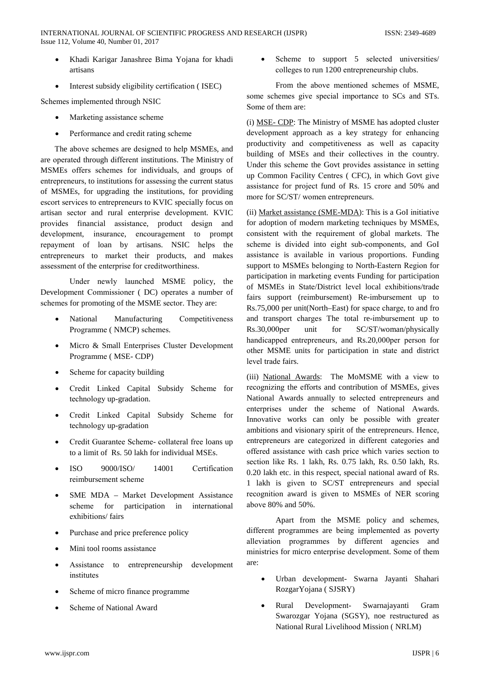- Khadi Karigar Janashree Bima Yojana for khadi artisans
- Interest subsidy eligibility certification (ISEC)

Schemes implemented through NSIC

- Marketing assistance scheme
- Performance and credit rating scheme

The above schemes are designed to help MSMEs, and are operated through different institutions. The Ministry of MSMEs offers schemes for individuals, and groups of entrepreneurs, to institutions for assessing the current status of MSMEs, for upgrading the institutions, for providing escort services to entrepreneurs to KVIC specially focus on artisan sector and rural enterprise development. KVIC provides financial assistance, product design and development, insurance, encouragement to prompt repayment of loan by artisans. NSIC helps the entrepreneurs to market their products, and makes assessment of the enterprise for creditworthiness.

Under newly launched MSME policy, the Development Commissioner (DC) operates a number of schemes for promoting of the MSME sector. They are:

- National Manufacturing Competitiveness Programme (NMCP) schemes.
- Micro & Small Enterprises Cluster Development Programme (MSE-CDP)
- Scheme for capacity building
- Credit Linked Capital Subsidy Scheme for technology up-gradation.
- Credit Linked Capital Subsidy Scheme for technology up-gradation
- Credit Guarantee Scheme-collateral free loans up to a limit of Rs. 50 lakh for individual MSEs.
- 9000/ISO/ 14001  $ISO$ Certification reimbursement scheme
- SME MDA Market Development Assistance scheme for participation in international exhibitions/fairs
- Purchase and price preference policy
- Mini tool rooms assistance
- Assistance to entrepreneurship development institutes
- Scheme of micro finance programme
- Scheme of National Award

Scheme to support 5 selected universities/  $\bullet$ colleges to run 1200 entrepreneurship clubs.

From the above mentioned schemes of MSME, some schemes give special importance to SCs and STs. Some of them are:

(i) MSE- CDP: The Ministry of MSME has adopted cluster development approach as a key strategy for enhancing productivity and competitiveness as well as capacity building of MSEs and their collectives in the country. Under this scheme the Govt provides assistance in setting up Common Facility Centres (CFC), in which Govt give assistance for project fund of Rs. 15 crore and 50% and more for SC/ST/ women entrepreneurs.

(ii) Market assistance (SME-MDA): This is a GoI initiative for adoption of modern marketing techniques by MSMEs, consistent with the requirement of global markets. The scheme is divided into eight sub-components, and GoI assistance is available in various proportions. Funding support to MSMEs belonging to North-Eastern Region for participation in marketing events Funding for participation of MSMEs in State/District level local exhibitions/trade fairs support (reimbursement) Re-imbursement up to Rs.75,000 per unit(North–East) for space charge, to and fro and transport charges The total re-imbursement up to Rs.30,000per unit for SC/ST/woman/physically handicapped entrepreneurs, and Rs.20,000per person for other MSME units for participation in state and district level trade fairs.

(iii) National Awards: The MoMSME with a view to recognizing the efforts and contribution of MSMEs, gives National Awards annually to selected entrepreneurs and enterprises under the scheme of National Awards. Innovative works can only be possible with greater ambitions and visionary spirit of the entrepreneurs. Hence, entrepreneurs are categorized in different categories and offered assistance with cash price which varies section to section like Rs. 1 lakh, Rs. 0.75 lakh, Rs. 0.50 lakh, Rs. 0.20 lakh etc. in this respect, special national award of Rs. 1 lakh is given to SC/ST entrepreneurs and special recognition award is given to MSMEs of NER scoring above 80% and 50%.

Apart from the MSME policy and schemes, different programmes are being implemented as poverty alleviation programmes by different agencies and ministries for micro enterprise development. Some of them are<sup>.</sup>

- Urban development- Swarna Jayanti Shahari RozgarYojana (SJSRY)
- Rural Development-Swarnajayanti Gram Swarozgar Yojana (SGSY), noe restructured as National Rural Livelihood Mission (NRLM)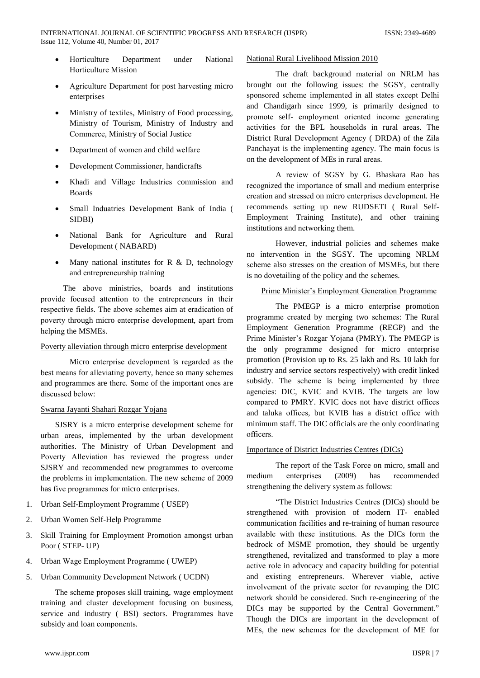- Horticulture under **National** Department **Horticulture Mission**
- Agriculture Department for post harvesting micro enterprises
- Ministry of textiles, Ministry of Food processing, Ministry of Tourism, Ministry of Industry and Commerce, Ministry of Social Justice
- Department of women and child welfare
- Development Commissioner, handicrafts
- Khadi and Village Industries commission and **Boards**
- Small Induatries Development Bank of India ( **SIDBI)**
- National Bank for Agriculture and Rural Development (NABARD)
- Many national institutes for  $R \& D$ , technology and entrepreneurship training

The above ministries, boards and institutions provide focused attention to the entrepreneurs in their respective fields. The above schemes aim at eradication of poverty through micro enterprise development, apart from helping the MSMEs.

### Poverty alleviation through micro enterprise development

Micro enterprise development is regarded as the best means for alleviating poverty, hence so many schemes and programmes are there. Some of the important ones are discussed below:

### Swarna Jayanti Shahari Rozgar Yojana

SJSRY is a micro enterprise development scheme for urban areas, implemented by the urban development authorities. The Ministry of Urban Development and Poverty Alleviation has reviewed the progress under SJSRY and recommended new programmes to overcome the problems in implementation. The new scheme of 2009 has five programmes for micro enterprises.

- 1. Urban Self-Employment Programme (USEP)
- $2^{1}$ Urban Women Self-Help Programme
- $\mathfrak{Z}$ . Skill Training for Employment Promotion amongst urban Poor (STEP-UP)
- 4. Urban Wage Employment Programme (UWEP)
- 5. Urban Community Development Network ( UCDN)

The scheme proposes skill training, wage employment training and cluster development focusing on business, service and industry (BSI) sectors. Programmes have subsidy and loan components.

### National Rural Livelihood Mission 2010

The draft background material on NRLM has brought out the following issues: the SGSY, centrally sponsored scheme implemented in all states except Delhi and Chandigarh since 1999, is primarily designed to promote self- employment oriented income generating activities for the BPL households in rural areas. The District Rural Development Agency (DRDA) of the Zila Panchayat is the implementing agency. The main focus is on the development of MEs in rural areas.

A review of SGSY by G. Bhaskara Rao has recognized the importance of small and medium enterprise creation and stressed on micro enterprises development. He recommends setting up new RUDSETI ( Rural Self-Employment Training Institute), and other training institutions and networking them.

However, industrial policies and schemes make no intervention in the SGSY. The upcoming NRLM scheme also stresses on the creation of MSMEs, but there is no dovetailing of the policy and the schemes.

### Prime Minister's Employment Generation Programme

The PMEGP is a micro enterprise promotion programme created by merging two schemes: The Rural Employment Generation Programme (REGP) and the Prime Minister's Rozgar Yojana (PMRY). The PMEGP is the only programme designed for micro enterprise promotion (Provision up to Rs. 25 lakh and Rs. 10 lakh for industry and service sectors respectively) with credit linked subsidy. The scheme is being implemented by three agencies: DIC, KVIC and KVIB. The targets are low compared to PMRY. KVIC does not have district offices and taluka offices, but KVIB has a district office with minimum staff. The DIC officials are the only coordinating officers.

### **Importance of District Industries Centres (DICs)**

The report of the Task Force on micro, small and medium enterprises  $(2009)$ has recommended strengthening the delivery system as follows:

"The District Industries Centres (DICs) should be strengthened with provision of modern IT- enabled communication facilities and re-training of human resource available with these institutions. As the DICs form the bedrock of MSME promotion, they should be urgently strengthened, revitalized and transformed to play a more active role in advocacy and capacity building for potential and existing entrepreneurs. Wherever viable, active involvement of the private sector for revamping the DIC network should be considered. Such re-engineering of the DICs may be supported by the Central Government." Though the DICs are important in the development of MEs, the new schemes for the development of ME for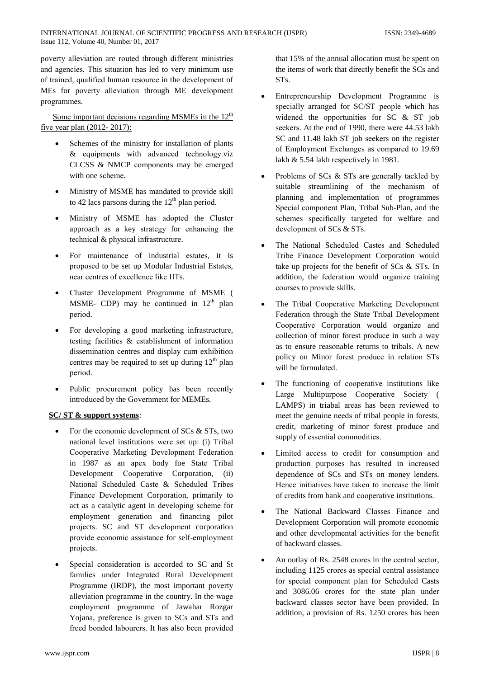poverty alleviation are routed through different ministries and agencies. This situation has led to very minimum use of trained, qualified human resource in the development of MEs for poverty alleviation through ME development programmes.

Some important decisions regarding MSMEs in the  $12<sup>th</sup>$ five year plan (2012-2017):

- Schemes of the ministry for installation of plants & equipments with advanced technology.viz CLCSS & NMCP components may be emerged with one scheme.
- Ministry of MSME has mandated to provide skill to 42 lacs parsons during the  $12<sup>th</sup>$  plan period.
- Ministry of MSME has adopted the Cluster approach as a key strategy for enhancing the technical & physical infrastructure.
- For maintenance of industrial estates, it is proposed to be set up Modular Industrial Estates. near centres of excellence like IITs.
- Cluster Development Programme of MSME (  $\bullet$ MSME- CDP) may be continued in  $12<sup>th</sup>$  plan period.
- For developing a good marketing infrastructure, testing facilities  $\&$  establishment of information dissemination centres and display cum exhibition centres may be required to set up during  $12<sup>th</sup>$  plan period.
- Public procurement policy has been recently introduced by the Government for MEMEs.

### **SC/ST & support systems:**

- For the economic development of SCs & STs, two national level institutions were set up: (i) Tribal Cooperative Marketing Development Federation in 1987 as an apex body foe State Tribal Development Cooperative Corporation, (ii) National Scheduled Caste & Scheduled Tribes Finance Development Corporation, primarily to act as a catalytic agent in developing scheme for employment generation and financing pilot projects. SC and ST development corporation provide economic assistance for self-employment projects.
- Special consideration is accorded to SC and St families under Integrated Rural Development Programme (IRDP), the most important poverty alleviation programme in the country. In the wage employment programme of Jawahar Rozgar Yojana, preference is given to SCs and STs and freed bonded labourers. It has also been provided

that 15% of the annual allocation must be spent on the items of work that directly benefit the SCs and ST<sub>s</sub>.

- Entrepreneurship Development Programme is specially arranged for SC/ST people which has widened the opportunities for SC & ST job seekers. At the end of 1990, there were 44.53 lakh SC and 11.48 lakh ST job seekers on the register of Employment Exchanges as compared to 19.69 lakh  $\&$  5.54 lakh respectively in 1981.
- Problems of SCs & STs are generally tackled by suitable streamlining of the mechanism of planning and implementation of programmes Special component Plan, Tribal Sub-Plan, and the schemes specifically targeted for welfare and development of SCs & STs.
- The National Scheduled Castes and Scheduled Tribe Finance Development Corporation would take up projects for the benefit of SCs & STs. In addition, the federation would organize training courses to provide skills.
- The Tribal Cooperative Marketing Development Federation through the State Tribal Development Cooperative Corporation would organize and collection of minor forest produce in such a way as to ensure reasonable returns to tribals. A new policy on Minor forest produce in relation STs will be formulated.
- The functioning of cooperative institutions like Large Multipurpose Cooperative Society ( LAMPS) in triabal areas has been reviewed to meet the genuine needs of tribal people in forests. credit, marketing of minor forest produce and supply of essential commodities.
- Limited access to credit for consumption and production purposes has resulted in increased dependence of SCs and STs on money lenders. Hence initiatives have taken to increase the limit of credits from bank and cooperative institutions.
- The National Backward Classes Finance and Development Corporation will promote economic and other developmental activities for the benefit of backward classes.
- An outlay of Rs. 2548 crores in the central sector, including 1125 crores as special central assistance for special component plan for Scheduled Casts and 3086.06 crores for the state plan under backward classes sector have been provided. In addition, a provision of Rs. 1250 crores has been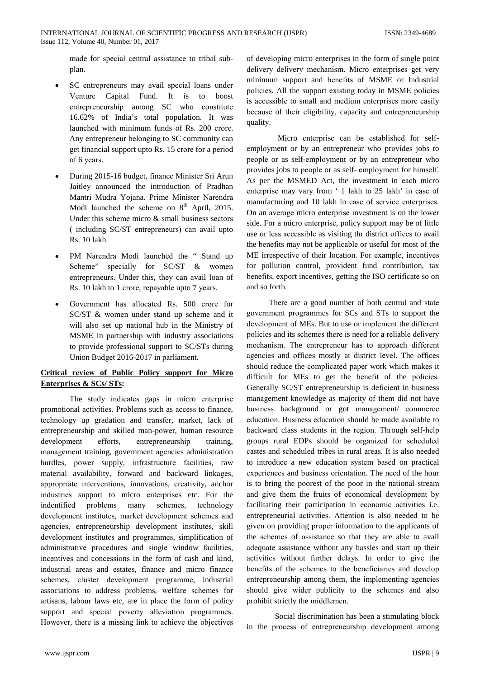INTERNATIONAL JOURNAL OF SCIENTIFIC PROGRESS AND RESEARCH (IJSPR) Issue 112, Volume 40, Number 01, 2017

> made for special central assistance to tribal subplan.

- SC entrepreneurs may avail special loans under Venture Capital Fund. It is to boost entrepreneurship among SC who constitute 16.62% of India's total population. It was launched with minimum funds of Rs. 200 crore. Any entrepreneur belonging to SC community can get financial support upto Rs. 15 crore for a period of 6 years.
- During 2015-16 budget, finance Minister Sri Arun Jaitley announced the introduction of Pradhan Mantri Mudra Yojana. Prime Minister Narendra Modi launched the scheme on  $8<sup>th</sup>$  April, 2015. Under this scheme micro  $\&$  small business sectors (including SC/ST entrepreneurs) can avail upto Rs. 10 lakh.
- PM Narendra Modi launched the "Stand up Scheme" specially for SC/ST & women entrepreneurs. Under this, they can avail loan of Rs. 10 lakh to 1 crore, repayable upto 7 years.
- Government has allocated Rs. 500 crore for  $SC/ST$  & women under stand up scheme and it will also set up national hub in the Ministry of MSME in partnership with industry associations to provide professional support to SC/STs during Union Budget 2016-2017 in parliament.

## Critical review of Public Policy support for Micro **Enterprises & SCs/STs:**

The study indicates gaps in micro enterprise promotional activities. Problems such as access to finance, technology up gradation and transfer, market, lack of entrepreneurship and skilled man-power, human resource development efforts. entrepreneurship training. management training, government agencies administration hurdles, power supply, infrastructure facilities, raw material availability, forward and backward linkages, appropriate interventions, innovations, creativity, anchor industries support to micro enterprises etc. For the indentified problems many schemes, technology development institutes, market development schemes and agencies, entrepreneurship development institutes, skill development institutes and programmes, simplification of administrative procedures and single window facilities, incentives and concessions in the form of cash and kind, industrial areas and estates, finance and micro finance schemes, cluster development programme, industrial associations to address problems, welfare schemes for artisans, labour laws etc, are in place the form of policy support and special poverty alleviation programmes. However, there is a missing link to achieve the objectives of developing micro enterprises in the form of single point delivery delivery mechanism. Micro enterprises get very minimum support and benefits of MSME or Industrial policies. All the support existing today in MSME policies is accessible to small and medium enterprises more easily because of their eligibility, capacity and entrepreneurship quality.

Micro enterprise can be established for selfemployment or by an entrepreneur who provides jobs to people or as self-employment or by an entrepreneur who provides jobs to people or as self-employment for himself. As per the MSMED Act, the investment in each micro enterprise may vary from '1 lakh to 25 lakh' in case of manufacturing and 10 lakh in case of service enterprises. On an average micro enterprise investment is on the lower side. For a micro enterprise, policy support may be of little use or less accessible as visiting thr district offices to avail the benefits may not be applicable or useful for most of the ME irrespective of their location. For example, incentives for pollution control, provident fund contribution, tax benefits, export incentives, getting the ISO certificate so on and so forth.

There are a good number of both central and state government programmes for SCs and STs to support the development of MEs. But to use or implement the different policies and its schemes there is need for a reliable delivery mechanism. The entrepreneur has to approach different agencies and offices mostly at district level. The offices should reduce the complicated paper work which makes it difficult for MEs to get the benefit of the policies. Generally SC/ST entrepreneurship is deficient in business management knowledge as majority of them did not have business background or got management/ commerce education. Business education should be made available to backward class students in the region. Through self-help groups rural EDPs should be organized for scheduled castes and scheduled tribes in rural areas. It is also needed to introduce a new education system based on practical experiences and business orientation. The need of the hour is to bring the poorest of the poor in the national stream and give them the fruits of economical development by facilitating their participation in economic activities i.e. entrepreneurial activities. Attention is also needed to be given on providing proper information to the applicants of the schemes of assistance so that they are able to avail adequate assistance without any hassles and start up their activities without further delays. In order to give the benefits of the schemes to the beneficiaries and develop entrepreneurship among them, the implementing agencies should give wider publicity to the schemes and also prohibit strictly the middlemen.

Social discrimination has been a stimulating block in the process of entrepreneurship development among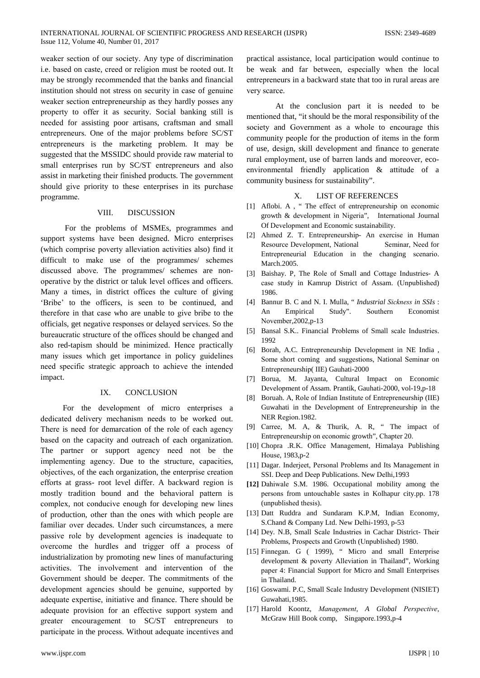weaker section of our society. Any type of discrimination i.e. based on caste, creed or religion must be rooted out. It may be strongly recommended that the banks and financial institution should not stress on security in case of genuine weaker section entrepreneurship as they hardly posses any property to offer it as security. Social banking still is needed for assisting poor artisans, craftsman and small entrepreneurs. One of the major problems before SC/ST entrepreneurs is the marketing problem. It may be suggested that the MSSIDC should provide raw material to small enterprises run by SC/ST entrepreneurs and also assist in marketing their finished products. The government should give priority to these enterprises in its purchase programme.

#### VIII. **DISCUSSION**

For the problems of MSMEs, programmes and support systems have been designed. Micro enterprises (which comprise poverty alleviation activities also) find it difficult to make use of the programmes/ schemes discussed above. The programmes/ schemes are nonoperative by the district or taluk level offices and officers. Many a times, in district offices the culture of giving 'Bribe' to the officers, is seen to be continued, and therefore in that case who are unable to give bribe to the officials, get negative responses or delayed services. So the bureaucratic structure of the offices should be changed and also red-tapism should be minimized. Hence practically many issues which get importance in policy guidelines need specific strategic approach to achieve the intended impact.

#### IX. **CONCLUSION**

For the development of micro enterprises a dedicated delivery mechanism needs to be worked out. There is need for demarcation of the role of each agency based on the capacity and outreach of each organization. The partner or support agency need not be the implementing agency. Due to the structure, capacities, objectives, of the each organization, the enterprise creation efforts at grass- root level differ. A backward region is mostly tradition bound and the behavioral pattern is complex, not conducive enough for developing new lines of production, other than the ones with which people are familiar over decades. Under such circumstances, a mere passive role by development agencies is inadequate to overcome the hurdles and trigger off a process of industrialization by promoting new lines of manufacturing activities. The involvement and intervention of the Government should be deeper. The commitments of the development agencies should be genuine, supported by adequate expertise, initiative and finance. There should be adequate provision for an effective support system and greater encouragement to SC/ST entrepreneurs to participate in the process. Without adequate incentives and

practical assistance, local participation would continue to be weak and far between, especially when the local entrepreneurs in a backward state that too in rural areas are very scarce.

At the conclusion part it is needed to be mentioned that, "it should be the moral responsibility of the society and Government as a whole to encourage this community people for the production of items in the form of use, design, skill development and finance to generate rural employment, use of barren lands and moreover, ecoenvironmental friendly application & attitude of a community business for sustainability".

#### **LIST OF REFERENCES** X.

- [1] Aflobi. A, "The effect of entrepreneurship on economic growth & development in Nigeria", International Journal Of Development and Economic sustainability.
- [2] Ahmed Z. T. Entrepreneurship- An exercise in Human Resource Development, National Seminar, Need for Entrepreneurial Education in the changing scenario. March.2005.
- [3] Baishay. P, The Role of Small and Cottage Industries-A case study in Kamrup District of Assam. (Unpublished) 1986.
- [4] Bannur B. C and N. I. Mulla, "*Industrial Sickness in SSIs*: Empirical Study". Southern Economist An November, 2002, p-13
- [5] Bansal S.K.. Financial Problems of Small scale Industries. 1992
- [6] Borah, A.C. Entrepreneurship Development in NE India, Some short coming and suggestions, National Seminar on Entrepreneurship(IIE) Gauhati-2000
- [7] Borua, M. Jayanta, Cultural Impact on Economic Development of Assam. Prantik, Gauhati-2000, vol-19,p-18
- [8] Boruah. A, Role of Indian Institute of Entrepreneurship (IIE) Guwahati in the Development of Entrepreneurship in the NER Region.1982.
- [9] Carree, M. A, & Thurik, A. R, "The impact of Entrepreneurship on economic growth", Chapter 20.
- [10] Chopra .R.K. Office Management, Himalaya Publishing House, 1983, p-2
- [11] Dagar. Inderjeet, Personal Problems and Its Management in SSI. Deep and Deep Publications. New Delhi, 1993
- [12] Dahiwale S.M. 1986. Occupational mobility among the persons from untouchable sastes in Kolhapur city.pp. 178 (unpublished thesis).
- [13] Datt Ruddra and Sundaram K.P.M, Indian Economy, S.Chand & Company Ltd. New Delhi-1993, p-53
- [14] Dey. N.B, Small Scale Industries in Cachar District- Their Problems, Prospects and Growth (Unpublished) 1980.
- [15] Finnegan. G (1999), " Micro and small Enterprise development & poverty Alleviation in Thailand", Working paper 4: Financial Support for Micro and Small Enterprises in Thailand.
- [16] Goswami. P.C, Small Scale Industry Development (NISIET) Guwahati, 1985.
- [17] Harold Koontz, Management, A Global Perspective, McGraw Hill Book comp, Singapore.1993,p-4